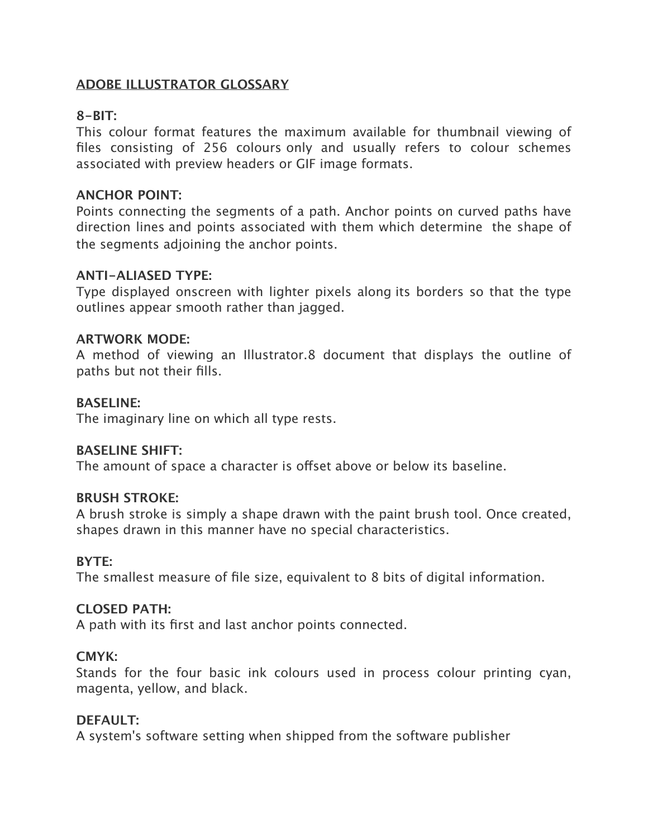## **ADOBE ILLUSTRATOR GLOSSARY**

# **8-BIT:**

This colour format features the maximum available for thumbnail viewing of files consisting of 256 colours only and usually refers to colour schemes associated with preview headers or GIF image formats.

#### **ANCHOR POINT:**

Points connecting the segments of a path. Anchor points on curved paths have direction lines and points associated with them which determine the shape of the segments adjoining the anchor points.

## **ANTI-ALIASED TYPE:**

Type displayed onscreen with lighter pixels along its borders so that the type outlines appear smooth rather than jagged.

#### **ARTWORK MODE:**

A method of viewing an Illustrator.8 document that displays the outline of paths but not their fills.

#### **BASELINE:**

The imaginary line on which all type rests.

## **BASELINE SHIFT:**

The amount of space a character is offset above or below its baseline.

#### **BRUSH STROKE:**

A brush stroke is simply a shape drawn with the paint brush tool. Once created, shapes drawn in this manner have no special characteristics.

## **BYTE:**

The smallest measure of file size, equivalent to 8 bits of digital information.

#### **CLOSED PATH:**

A path with its first and last anchor points connected.

## **CMYK:**

Stands for the four basic ink colours used in process colour printing cyan, magenta, yellow, and black.

## **DEFAULT:**

A system's software setting when shipped from the software publisher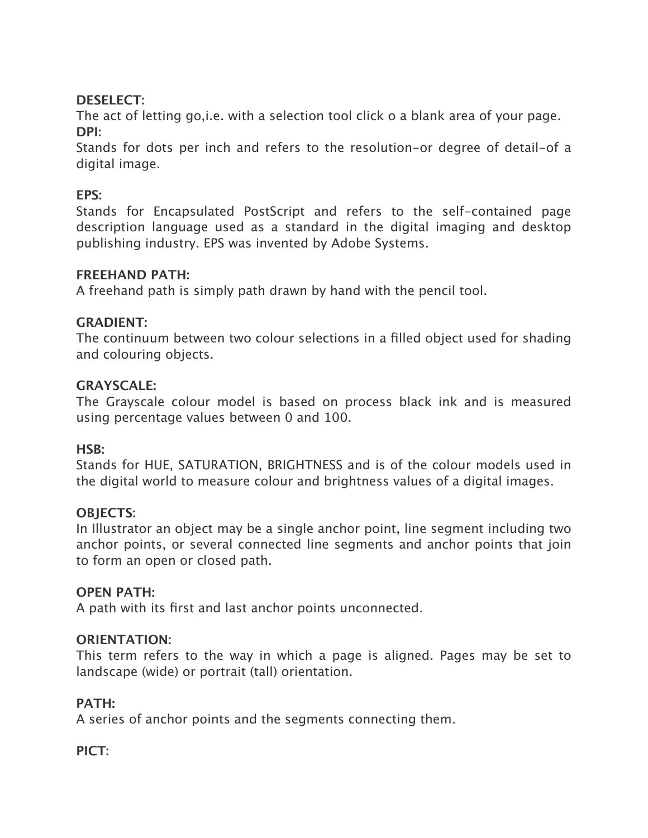# **DESELECT:**

The act of letting go,i.e. with a selection tool click o a blank area of your page. **DPI:**

Stands for dots per inch and refers to the resolution-or degree of detail-of a digital image.

# **EPS:**

Stands for Encapsulated PostScript and refers to the self-contained page description language used as a standard in the digital imaging and desktop publishing industry. EPS was invented by Adobe Systems.

# **FREEHAND PATH:**

A freehand path is simply path drawn by hand with the pencil tool.

# **GRADIENT:**

The continuum between two colour selections in a filled object used for shading and colouring objects.

# **GRAYSCALE:**

The Grayscale colour model is based on process black ink and is measured using percentage values between 0 and 100.

# **HSB:**

Stands for HUE, SATURATION, BRIGHTNESS and is of the colour models used in the digital world to measure colour and brightness values of a digital images.

# **OBJECTS:**

In Illustrator an object may be a single anchor point, line segment including two anchor points, or several connected line segments and anchor points that join to form an open or closed path.

# **OPEN PATH:**

A path with its first and last anchor points unconnected.

# **ORIENTATION:**

This term refers to the way in which a page is aligned. Pages may be set to landscape (wide) or portrait (tall) orientation.

# **PATH:**

A series of anchor points and the segments connecting them.

# **PICT:**